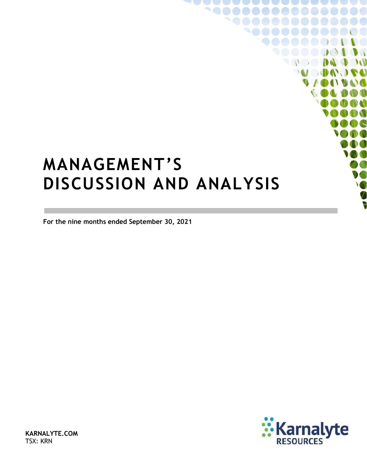# <span id="page-0-0"></span>**MANAGEMENT'S DISCUSSION AND ANALYSIS**

**For the nine months ended September 30, 2021**



 $\sqrt{2}$ 

 $\mathcal{W}$ 

 $\bullet$ 

**ID AT TO GLI** 

**KARNALYTE.COM** TSX: KRN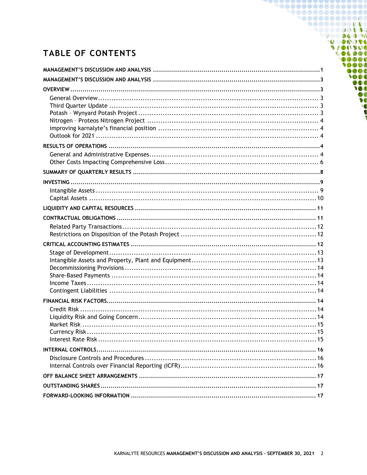## **TABLE OF CONTENTS**

1000000000000 **900000000000** 9000000000 **DO DO DO POO MODUOL** 

00000 10000  $0000$ TOOO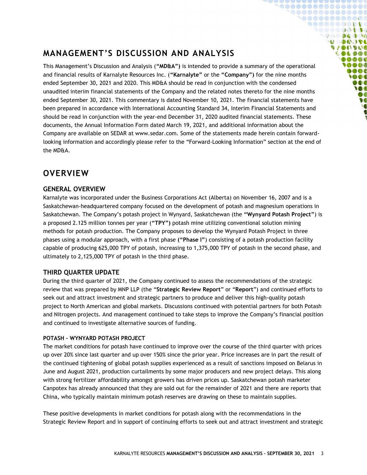### <span id="page-2-0"></span>**MANAGEMENT'S DISCUSSION AND ANALYSIS**

This Management's Discussion and Analysis (**"MD&A")** is intended to provide a summary of the operational and financial results of Karnalyte Resources Inc. (**"Karnalyte"** or the **"Company")** for the nine months ended September 30, 2021 and 2020. This MD&A should be read in conjunction with the condensed unaudited interim financial statements of the Company and the related notes thereto for the nine months ended September 30, 2021. This commentary is dated November 10, 2021. The financial statements have been prepared in accordance with International Accounting Standard 34, Interim Financial Statements and should be read in conjunction with the year-end December 31, 2020 audited financial statements. These documents, the Annual Information Form dated March 19, 2021, and additional information about the Company are available on SEDAR at www.sedar.com. Some of the statements made herein contain forwardlooking information and accordingly please refer to the "Forward-Looking Information" section at the end of the MD&A.

**`@@@@@@@@@@@@@@** 1000000000000 **90000000000** ◥◓◓◓◓◓◶◔▮◑◑ **OC DE DO DO MODO DE VAOOVOO**  $\bullet \bullet \bullet \bullet \bullet \bullet$  $0000$ 0000  $\bullet$   $\bullet$   $\bullet$ **SOO** DOO **M**  $\boldsymbol{v}$  $\bullet$ 

### <span id="page-2-1"></span>**OVERVIEW**

### <span id="page-2-2"></span>**GENERAL OVERVIEW**

Karnalyte was incorporated under the Business Corporations Act (Alberta) on November 16, 2007 and is a Saskatchewan-headquartered company focused on the development of potash and magnesium operations in Saskatchewan. The Company's potash project in Wynyard, Saskatchewan (the **"Wynyard Potash Project"**) is a proposed 2.125 million tonnes per year (**"TPY")** potash mine utilizing conventional solution mining methods for potash production. The Company proposes to develop the Wynyard Potash Project in three phases using a modular approach, with a first phase **("Phase I"**) consisting of a potash production facility capable of producing 625,000 TPY of potash, increasing to 1,375,000 TPY of potash in the second phase, and ultimately to 2,125,000 TPY of potash in the third phase.

### <span id="page-2-3"></span>**THIRD QUARTER UPDATE**

During the third quarter of 2021, the Company continued to assess the recommendations of the strategic review that was prepared by MNP LLP (the "**Strategic Review Report**" or "**Report**") and continued efforts to seek out and attract investment and strategic partners to produce and deliver this high-quality potash project to North American and global markets. Discussions continued with potential partners for both Potash and Nitrogen projects. And management continued to take steps to improve the Company's financial position and continued to investigate alternative sources of funding.

#### <span id="page-2-4"></span>**POTASH – WYNYARD POTASH PROJECT**

The market conditions for potash have continued to improve over the course of the third quarter with prices up over 20% since last quarter and up over 150% since the prior year. Price increases are in part the result of the continued tightening of global potash supplies experienced as a result of sanctions imposed on Belarus in June and August 2021, production curtailments by some major producers and new project delays. This along with strong fertilizer affordability amongst growers has driven prices up. Saskatchewan potash marketer Canpotex has already announced that they are sold out for the remainder of 2021 and there are reports that China, who typically maintain minimum potash reserves are drawing on these to maintain supplies.

These positive developments in market conditions for potash along with the recommendations in the Strategic Review Report and in support of continuing efforts to seek out and attract investment and strategic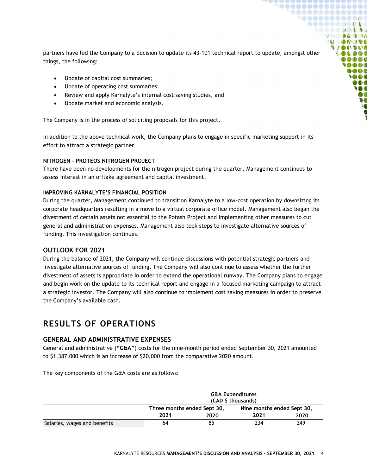partners have led the Company to a decision to update its 43-101 technical report to update, amongst other things, the following:

**..............** <u>\aaaaaaaaaaa</u> **..........** . . . . . . . . . . . **DO DAD DO NOONOL DIANT IDAY DADO** 000**0** 0000  $000$  $\bigcirc$  then DOO M

- Update of capital cost summaries;
- Update of operating cost summaries;
- Review and apply Karnalyte's internal cost saving studies, and
- Update market and economic analysis.

The Company is in the process of soliciting proposals for this project.

In addition to the above technical work, the Company plans to engage in specific marketing support in its effort to attract a strategic partner.

#### <span id="page-3-0"></span>**NITROGEN – PROTEOS NITROGEN PROJECT**

There have been no developments for the nitrogen project during the quarter. Management continues to assess interest in an offtake agreement and capital investment.

#### <span id="page-3-1"></span>**IMPROVING KARNALYTE'S FINANCIAL POSITION**

During the quarter, Management continued to transition Karnalyte to a low-cost operation by downsizing its corporate headquarters resulting in a move to a virtual corporate office model. Management also began the divestment of certain assets not essential to the Potash Project and implementing other measures to cut general and administration expenses. Management also took steps to investigate alternative sources of funding. This investigation continues.

#### <span id="page-3-2"></span>**OUTLOOK FOR 2021**

During the balance of 2021, the Company will continue discussions with potential strategic partners and investigate alternative sources of funding. The Company will also continue to assess whether the further divestment of assets is appropriate in order to extend the operational runway. The Company plans to engage and begin work on the update to its technical report and engage in a focused marketing campaign to attract a strategic investor. The Company will also continue to implement cost saving measures in order to preserve the Company's available cash.

### <span id="page-3-3"></span>**RESULTS OF OPERATIONS**

### <span id="page-3-4"></span>**GENERAL AND ADMINISTRATIVE EXPENSES**

General and administrative (**"G&A"**) costs for the nine-month period ended September 30, 2021 amounted to \$1,387,000 which is an increase of \$20,000 from the comparative 2020 amount.

The key components of the G&A costs are as follows:

|                              |      | <b>G&amp;A Expenditures</b><br>(CAD \$ thousands) |      |                            |  |  |
|------------------------------|------|---------------------------------------------------|------|----------------------------|--|--|
|                              |      | Three months ended Sept 30,                       |      | Nine months ended Sept 30, |  |  |
|                              | 2021 | 2020                                              | 2021 | 2020                       |  |  |
| Salaries, wages and benefits | 64   | 85                                                | 234  | 249                        |  |  |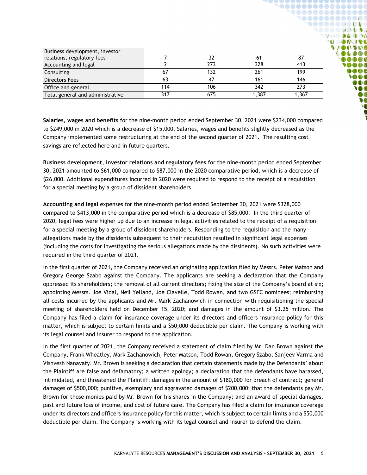| Business development, investor   |     | 32  |       | 87    |
|----------------------------------|-----|-----|-------|-------|
| relations, regulatory fees       |     |     |       |       |
| Accounting and legal             |     | 273 | 328   | 413   |
| Consulting                       | 67  | 132 | 261   | 199   |
| Directors Fees                   | 63  |     | 161   | 146   |
| Office and general               | 114 | 106 | 342   | 273   |
| Total general and administrative | 317 | 675 | 1.387 | 1,367 |

**`@@@@@@@@@@@@@@@** 1000000000000 **900000000000** ◥◓◓◓◓◓◶◔▮◑◑ **OCO DA DO MODUO A VAOOVOO** 000000 000**0** ..... **MOG SOOT** DOO

> **M** Ø  $\bullet$

**Salaries, wages and benefits** for the nine-month period ended September 30, 2021 were \$234,000 compared to \$249,000 in 2020 which is a decrease of \$15,000. Salaries, wages and benefits slightly decreased as the Company implemented some restructuring at the end of the second quarter of 2021. The resulting cost savings are reflected here and in future quarters.

**Business development, investor relations and regulatory fees** for the nine-month period ended September 30, 2021 amounted to \$61,000 compared to \$87,000 in the 2020 comparative period, which is a decrease of \$26,000. Additional expenditures incurred in 2020 were required to respond to the receipt of a requisition for a special meeting by a group of dissident shareholders.

**Accounting and legal** expenses for the nine-month period ended September 30, 2021 were \$328,000 compared to \$413,000 in the comparative period which is a decrease of \$85,000. In the third quarter of 2020, legal fees were higher up due to an increase in legal activities related to the receipt of a requisition for a special meeting by a group of dissident shareholders. Responding to the requisition and the many allegations made by the dissidents subsequent to their requisition resulted in significant legal expenses (including the costs for investigating the serious allegations made by the dissidents). No such activities were required in the third quarter of 2021.

In the first quarter of 2021, the Company received an originating application filed by Messrs. Peter Matson and Gregory George Szabo against the Company. The applicants are seeking a declaration that the Company oppressed its shareholders; the removal of all current directors; fixing the size of the Company's board at six; appointing Messrs. Joe Vidal, Neil Yelland, Joe Clavelle, Todd Rowan, and two GSFC nominees; reimbursing all costs incurred by the applicants and Mr. Mark Zachanowich in connection with requisitioning the special meeting of shareholders held on December 15, 2020; and damages in the amount of \$3.25 million. The Company has filed a claim for insurance coverage under its directors and officers insurance policy for this matter, which is subject to certain limits and a \$50,000 deductible per claim. The Company is working with its legal counsel and insurer to respond to the application.

In the first quarter of 2021, the Company received a statement of claim filed by Mr. Dan Brown against the Company, Frank Wheatley, Mark Zachanowich, Peter Matson, Todd Rowan, Gregory Szabo, Sanjeev Varma and Vishvesh Nanavaty. Mr. Brown is seeking a declaration that certain statements made by the Defendants' about the Plaintiff are false and defamatory; a written apology; a declaration that the defendants have harassed, intimidated, and threatened the Plaintiff; damages in the amount of \$180,000 for breach of contract; general damages of \$500,000; punitive, exemplary and aggravated damages of \$200,000; that the defendants pay Mr. Brown for those monies paid by Mr. Brown for his shares in the Company; and an award of special damages, past and future loss of income, and cost of future care. The Company has filed a claim for insurance coverage under its directors and officers insurance policy for this matter, which is subject to certain limits and a \$50,000 deductible per claim. The Company is working with its legal counsel and insurer to defend the claim.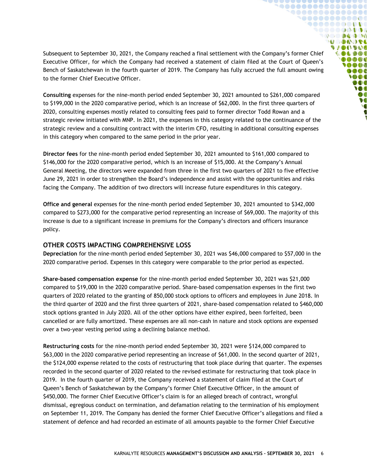Subsequent to September 30, 2021, the Company reached a final settlement with the Company's former Chief Executive Officer, for which the Company had received a statement of claim filed at the Court of Queen's Bench of Saskatchewan in the fourth quarter of 2019. The Company has fully accrued the full amount owing to the former Chief Executive Officer.

**`@@@@@@@@@@@@@@ `@@@@@@@@@@@ 90000000000** ◥◓◓◓◓◓◶◔≬◑◑  $\mathbb{Q} \otimes \mathbb{Q} \otimes \mathbb{Q} \otimes \mathbb{Q} \otimes \mathbb{Q}$ **U DAOSE DIANT IDAY DADO**  $\begin{array}{c} \bullet\bullet\bullet\bullet\end{array}$ 0000  $\bullet$   $\bullet$   $\bullet$ **SOO** DOO W ØO  $\bullet$ 

**Consulting** expenses for the nine-month period ended September 30, 2021 amounted to \$261,000 compared to \$199,000 in the 2020 comparative period, which is an increase of \$62,000. In the first three quarters of 2020, consulting expenses mostly related to consulting fees paid to former director Todd Rowan and a strategic review initiated with MNP. In 2021, the expenses in this category related to the continuance of the strategic review and a consulting contract with the interim CFO, resulting in additional consulting expenses in this category when compared to the same period in the prior year.

**Director fees** for the nine-month period ended September 30, 2021 amounted to \$161,000 compared to \$146,000 for the 2020 comparative period, which is an increase of \$15,000. At the Company's Annual General Meeting, the directors were expanded from three in the first two quarters of 2021 to five effective June 29, 2021 in order to strengthen the Board's independence and assist with the opportunities and risks facing the Company. The addition of two directors will increase future expenditures in this category.

**Office and general** expenses for the nine-month period ended September 30, 2021 amounted to \$342,000 compared to \$273,000 for the comparative period representing an increase of \$69,000. The majority of this increase is due to a significant increase in premiums for the Company's directors and officers insurance policy.

#### <span id="page-5-0"></span>**OTHER COSTS IMPACTING COMPREHENSIVE LOSS**

**Depreciation** for the nine-month period ended September 30, 2021 was \$46,000 compared to \$57,000 in the 2020 comparative period. Expenses in this category were comparable to the prior period as expected.

**Share-based compensation expense** for the nine-month period ended September 30, 2021 was \$21,000 compared to \$19,000 in the 2020 comparative period. Share-based compensation expenses in the first two quarters of 2020 related to the granting of 850,000 stock options to officers and employees in June 2018. In the third quarter of 2020 and the first three quarters of 2021, share-based compensation related to \$460,000 stock options granted in July 2020. All of the other options have either expired, been forfeited, been cancelled or are fully amortized. These expenses are all non-cash in nature and stock options are expensed over a two-year vesting period using a declining balance method.

**Restructuring costs** for the nine-month period ended September 30, 2021 were \$124,000 compared to \$63,000 in the 2020 comparative period representing an increase of \$61,000. In the second quarter of 2021, the \$124,000 expense related to the costs of restructuring that took place during that quarter. The expenses recorded in the second quarter of 2020 related to the revised estimate for restructuring that took place in 2019. In the fourth quarter of 2019, the Company received a statement of claim filed at the Court of Queen's Bench of Saskatchewan by the Company's former Chief Executive Officer, in the amount of \$450,000. The former Chief Executive Officer's claim is for an alleged breach of contract, wrongful dismissal, egregious conduct on termination, and defamation relating to the termination of his employment on September 11, 2019. The Company has denied the former Chief Executive Officer's allegations and filed a statement of defence and had recorded an estimate of all amounts payable to the former Chief Executive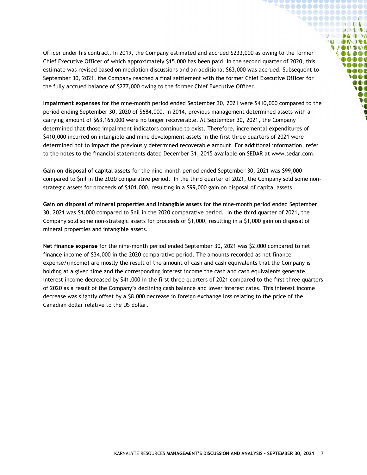Officer under his contract. In 2019, the Company estimated and accrued \$233,000 as owing to the former Chief Executive Officer of which approximately \$15,000 has been paid. In the second quarter of 2020, this estimate was revised based on mediation discussions and an additional \$63,000 was accrued. Subsequent to September 30, 2021, the Company reached a final settlement with the former Chief Executive Officer for the fully accrued balance of \$277,000 owing to the former Chief Executive Officer.

**``\@@@@@@@@@@@@@** 1000000000001  $\bullet\bullet\bullet\bullet\bullet\bullet\bullet\bullet\bullet\bullet\bullet$ **DO DAD DO NOONOL DIANT IDAY** OLDOC **OB** OB OB 0000  $\bullet \bullet \bullet$ **SOO** DOO **M** Ø  $\bullet$ 

**Impairment expenses** for the nine-month period ended September 30, 2021 were \$410,000 compared to the period ending September 30, 2020 of \$684,000. In 2014, previous management determined assets with a carrying amount of \$63,165,000 were no longer recoverable. At September 30, 2021, the Company determined that those impairment indicators continue to exist. Therefore, incremental expenditures of \$410,000 incurred on intangible and mine development assets in the first three quarters of 2021 were determined not to impact the previously determined recoverable amount. For additional information, refer to the notes to the financial statements dated December 31, 2015 available on SEDAR at [www.sedar.com.](http://www.sedar.com/)

**Gain on disposal of capital assets** for the nine-month period ended September 30, 2021 was \$99,000 compared to \$nil in the 2020 comparative period. In the third quarter of 2021, the Company sold some nonstrategic assets for proceeds of \$101,000, resulting in a \$99,000 gain on disposal of capital assets.

**Gain on disposal of mineral properties and intangible assets** for the nine-month period ended September 30, 2021 was \$1,000 compared to \$nil in the 2020 comparative period. In the third quarter of 2021, the Company sold some non-strategic assets for proceeds of \$1,000, resulting in a \$1,000 gain on disposal of mineral properties and intangible assets.

**Net finance expense** for the nine-month period ended September 30, 2021 was \$2,000 compared to net finance income of \$34,000 in the 2020 comparative period. The amounts recorded as net finance expense/(income) are mostly the result of the amount of cash and cash equivalents that the Company is holding at a given time and the corresponding interest income the cash and cash equivalents generate. Interest income decreased by \$41,000 in the first three quarters of 2021 compared to the first three quarters of 2020 as a result of the Company's declining cash balance and lower interest rates. This interest income decrease was slightly offset by a \$8,000 decrease in foreign exchange loss relating to the price of the Canadian dollar relative to the US dollar.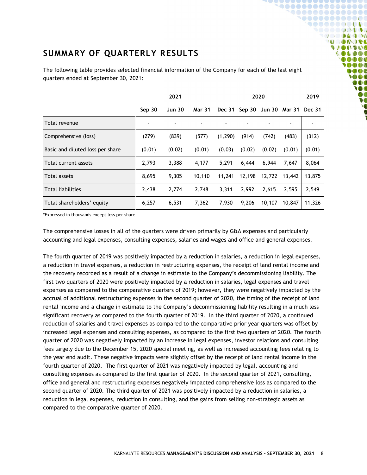### <span id="page-7-0"></span>**SUMMARY OF QUARTERLY RESULTS**

|                                  | 2021           |               |               | 2020     |        |        | 2019                 |               |
|----------------------------------|----------------|---------------|---------------|----------|--------|--------|----------------------|---------------|
|                                  | Sep 30         | <b>Jun 30</b> | <b>Mar 31</b> | Dec 31   |        |        | Sep 30 Jun 30 Mar 31 | <b>Dec 31</b> |
| Total revenue                    | $\blacksquare$ |               |               |          |        |        |                      |               |
| Comprehensive (loss)             | (279)          | (839)         | (577)         | (1, 290) | (914)  | (742)  | (483)                | (312)         |
| Basic and diluted loss per share | (0.01)         | (0.02)        | (0.01)        | (0.03)   | (0.02) | (0.02) | (0.01)               | (0.01)        |
| Total current assets             | 2,793          | 3,388         | 4,177         | 5,291    | 6,444  | 6,944  | 7,647                | 8,064         |
| Total assets                     | 8,695          | 9,305         | 10,110        | 11,241   | 12,198 | 12,722 | 13,442               | 13,875        |
| <b>Total liabilities</b>         | 2,438          | 2,774         | 2,748         | 3.311    | 2.992  | 2,615  | 2,595                | 2,549         |
| Total shareholders' equity       | 6,257          | 6,531         | 7,362         | 7,930    | 9,206  | 10,107 | 10,847               | 11,326        |

The following table provides selected financial information of the Company for each of the last eight quarters ended at September 30, 2021:

**~@@@@@@@@@@@@@@@**  ${\small \begin{array}{c} \bullet\bullet\bullet\bullet\bullet\bullet\bullet\bullet\bullet\bullet\bullet\bullet\bullet\bullet\bullet\bullet\end{array}}$ **`@@@@@@@@@@@ 90000000000** ◥◓◓◓◓◓◶◔≬◑◑ **COMPANY MODO DE VAOOVOO COLDOS**  $\bullet \bullet \bullet \bullet$ **OOO**  $000$ **SOOT** DOO **M**  $\boldsymbol{v}$ **V** 

\*Expressed in thousands except loss per share

The comprehensive losses in all of the quarters were driven primarily by G&A expenses and particularly accounting and legal expenses, consulting expenses, salaries and wages and office and general expenses.

The fourth quarter of 2019 was positively impacted by a reduction in salaries, a reduction in legal expenses, a reduction in travel expenses, a reduction in restructuring expenses, the receipt of land rental income and the recovery recorded as a result of a change in estimate to the Company's decommissioning liability. The first two quarters of 2020 were positively impacted by a reduction in salaries, legal expenses and travel expenses as compared to the comparative quarters of 2019; however, they were negatively impacted by the accrual of additional restructuring expenses in the second quarter of 2020, the timing of the receipt of land rental income and a change in estimate to the Company's decommissioning liability resulting in a much less significant recovery as compared to the fourth quarter of 2019. In the third quarter of 2020, a continued reduction of salaries and travel expenses as compared to the comparative prior year quarters was offset by increased legal expenses and consulting expenses, as compared to the first two quarters of 2020. The fourth quarter of 2020 was negatively impacted by an increase in legal expenses, investor relations and consulting fees largely due to the December 15, 2020 special meeting, as well as increased accounting fees relating to the year end audit. These negative impacts were slightly offset by the receipt of land rental income in the fourth quarter of 2020. The first quarter of 2021 was negatively impacted by legal, accounting and consulting expenses as compared to the first quarter of 2020. In the second quarter of 2021, consulting, office and general and restructuring expenses negatively impacted comprehensive loss as compared to the second quarter of 2020. The third quarter of 2021 was positively impacted by a reduction in salaries, a reduction in legal expenses, reduction in consulting, and the gains from selling non-strategic assets as compared to the comparative quarter of 2020.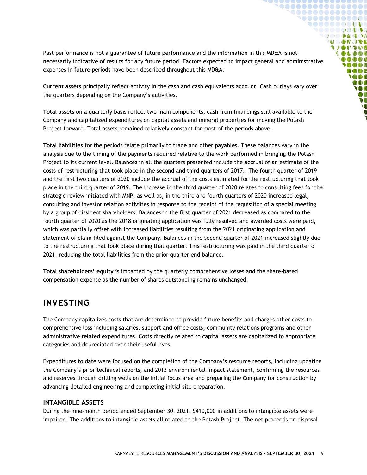Past performance is not a guarantee of future performance and the information in this MD&A is not necessarily indicative of results for any future period. Factors expected to impact general and administrative expenses in future periods have been described throughout this MD&A.

 ${\small \begin{array}{@{}c@{\hspace{1.5pt}}c@{\hspace{1.5pt}}c@{\hspace{1.5pt}}c@{\hspace{1.5pt}}c@{\hspace{1.5pt}}c@{\hspace{1.5pt}}c@{\hspace{1.5pt}}c@{\hspace{1.5pt}}c@{\hspace{1.5pt}}c@{\hspace{1.5pt}}c@{\hspace{1.5pt}}c@{\hspace{1.5pt}}c@{\hspace{1.5pt}}c@{\hspace{1.5pt}}c@{\hspace{1.5pt}}c@{\hspace{1.5pt}}c@{\hspace{1.5pt}}c@{\hspace{1.5pt}}c@{\hspace{1.5pt}}c@$  ${\small \begin{array}{c} \bullet\bullet\bullet\bullet\bullet\bullet\bullet\bullet\bullet\bullet\bullet\bullet\bullet\bullet\bullet\bullet\end{array}}$ **`@@@@@@@@@@@ 90000000000** ,,,,,,,,,, **DO DAD DO MODO DEL UACIDAL COLDOS**  $0 0 0 0 0$ 0000  $\bullet$   $\bullet$   $\bullet$ **SOO** DOO **M**  $\boldsymbol{v}$ **V** 

**Current assets** principally reflect activity in the cash and cash equivalents account. Cash outlays vary over the quarters depending on the Company's activities.

**Total assets** on a quarterly basis reflect two main components, cash from financings still available to the Company and capitalized expenditures on capital assets and mineral properties for moving the Potash Project forward. Total assets remained relatively constant for most of the periods above.

**Total liabilities** for the periods relate primarily to trade and other payables. These balances vary in the analysis due to the timing of the payments required relative to the work performed in bringing the Potash Project to its current level. Balances in all the quarters presented include the accrual of an estimate of the costs of restructuring that took place in the second and third quarters of 2017. The fourth quarter of 2019 and the first two quarters of 2020 include the accrual of the costs estimated for the restructuring that took place in the third quarter of 2019. The increase in the third quarter of 2020 relates to consulting fees for the strategic review initiated with MNP, as well as, in the third and fourth quarters of 2020 increased legal, consulting and investor relation activities in response to the receipt of the requisition of a special meeting by a group of dissident shareholders. Balances in the first quarter of 2021 decreased as compared to the fourth quarter of 2020 as the 2018 originating application was fully resolved and awarded costs were paid, which was partially offset with increased liabilities resulting from the 2021 originating application and statement of claim filed against the Company. Balances in the second quarter of 2021 increased slightly due to the restructuring that took place during that quarter. This restructuring was paid in the third quarter of 2021, reducing the total liabilities from the prior quarter end balance.

**Total shareholders' equity** is impacted by the quarterly comprehensive losses and the share-based compensation expense as the number of shares outstanding remains unchanged.

### <span id="page-8-0"></span>**INVESTING**

The Company capitalizes costs that are determined to provide future benefits and charges other costs to comprehensive loss including salaries, support and office costs, community relations programs and other administrative related expenditures. Costs directly related to capital assets are capitalized to appropriate categories and depreciated over their useful lives.

Expenditures to date were focused on the completion of the Company's resource reports, including updating the Company's prior technical reports, and 2013 environmental impact statement, confirming the resources and reserves through drilling wells on the initial focus area and preparing the Company for construction by advancing detailed engineering and completing initial site preparation.

### <span id="page-8-1"></span>**INTANGIBLE ASSETS**

During the nine-month period ended September 30, 2021, \$410,000 in additions to intangible assets were impaired. The additions to intangible assets all related to the Potash Project. The net proceeds on disposal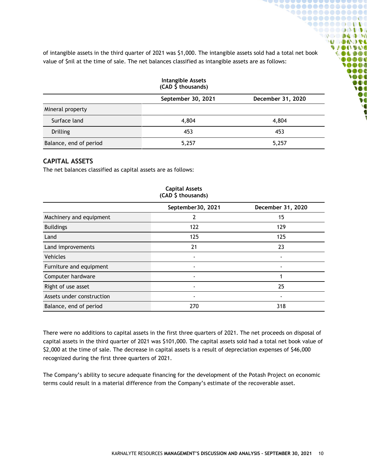of intangible assets in the third quarter of 2021 was \$1,000. The intangible assets sold had a total net book value of \$nil at the time of sale. The net balances classified as intangible assets are as follows:

 $\bullet\bullet\bullet\bullet\bullet\bullet\bullet\bullet\bullet$ 

 $\mathbf{1}$ 

 $0 \omega \Phi$  10 **ALCOHOL:** 

**DO AD AD A** 

**DOOG**  $\bigcirc$  then **DOO M** DO **V** 

 $\mathbf{u}$ 

### **Intangible Assets (CAD \$ thousands) September 30, 2021 December 31, 2020** Mineral property Surface land 4,804 4,804 4,804 Drilling 453 453 Balance, end of period and the state of the state  $5,257$  5,257 5,257

### <span id="page-9-0"></span>**CAPITAL ASSETS**

The net balances classified as capital assets are as follows:

| (CAD \$ thousands)        |                   |                   |  |  |
|---------------------------|-------------------|-------------------|--|--|
|                           | September30, 2021 | December 31, 2020 |  |  |
| Machinery and equipment   | 2                 | 15                |  |  |
| <b>Buildings</b>          | 122               | 129               |  |  |
| Land                      | 125               | 125               |  |  |
| Land improvements         | 21                | 23                |  |  |
| <b>Vehicles</b>           | $\blacksquare$    | ۰                 |  |  |
| Furniture and equipment   |                   |                   |  |  |
| Computer hardware         |                   |                   |  |  |
| Right of use asset        |                   | 25                |  |  |
| Assets under construction | ٠                 | $\blacksquare$    |  |  |
| Balance, end of period    | 270               | 318               |  |  |

# **Capital Assets**

There were no additions to capital assets in the first three quarters of 2021. The net proceeds on disposal of capital assets in the third quarter of 2021 was \$101,000. The capital assets sold had a total net book value of \$2,000 at the time of sale. The decrease in capital assets is a result of depreciation expenses of \$46,000 recognized during the first three quarters of 2021.

The Company's ability to secure adequate financing for the development of the Potash Project on economic terms could result in a material difference from the Company's estimate of the recoverable asset.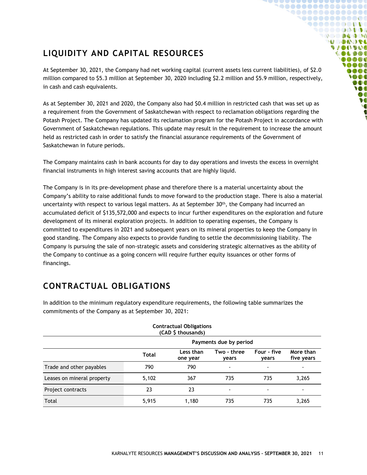### <span id="page-10-0"></span>**LIQUIDITY AND CAPITAL RESOURCES**

At September 30, 2021, the Company had net working capital (current assets less current liabilities), of \$2.0 million compared to \$5.3 million at September 30, 2020 including \$2.2 million and \$5.9 million, respectively, in cash and cash equivalents.

 $00000000000000000$ 1000000000001 **9000000000** . . . . . . . . . . . **DO DA DO NOONOL UACIDAL DADO** 000**0** 

> $\bullet$   $\bullet$   $\bullet$ ON DOO **M** DO **V**

As at September 30, 2021 and 2020, the Company also had \$0.4 million in restricted cash that was set up as a requirement from the Government of Saskatchewan with respect to reclamation obligations regarding the Potash Project. The Company has updated its reclamation program for the Potash Project in accordance with Government of Saskatchewan regulations. This update may result in the requirement to increase the amount held as restricted cash in order to satisfy the financial assurance requirements of the Government of Saskatchewan in future periods.

The Company maintains cash in bank accounts for day to day operations and invests the excess in overnight financial instruments in high interest saving accounts that are highly liquid.

The Company is in its pre-development phase and therefore there is a material uncertainty about the Company's ability to raise additional funds to move forward to the production stage. There is also a material uncertainty with respect to various legal matters. As at September  $30<sup>th</sup>$ , the Company had incurred an accumulated deficit of \$135,572,000 and expects to incur further expenditures on the exploration and future development of its mineral exploration projects. In addition to operating expenses, the Company is committed to expenditures in 2021 and subsequent years on its mineral properties to keep the Company in good standing. The Company also expects to provide funding to settle the decommissioning liability. The Company is pursuing the sale of non-strategic assets and considering strategic alternatives as the ability of the Company to continue as a going concern will require further equity issuances or other forms of financings.

### <span id="page-10-1"></span>**CONTRACTUAL OBLIGATIONS**

|                            |                        | <b>Contractual Obligations</b><br>(CAD \$ thousands) |                          |                      |                          |
|----------------------------|------------------------|------------------------------------------------------|--------------------------|----------------------|--------------------------|
|                            | Payments due by period |                                                      |                          |                      |                          |
|                            | <b>Total</b>           | Less than<br>one year                                | Two - three<br>vears     | Four - five<br>vears | More than<br>five years  |
| Trade and other payables   | 790                    | 790                                                  | $\overline{\phantom{a}}$ | $\blacksquare$       | ٠                        |
| Leases on mineral property | 5,102                  | 367                                                  | 735                      | 735                  | 3,265                    |
| Project contracts          | 23                     | 23                                                   | $\overline{\phantom{a}}$ |                      | $\overline{\phantom{a}}$ |
| Total                      | 5,915                  | 1.180                                                | 735                      | 735                  | 3,265                    |

In addition to the minimum regulatory expenditure requirements, the following table summarizes the commitments of the Company as at September 30, 2021: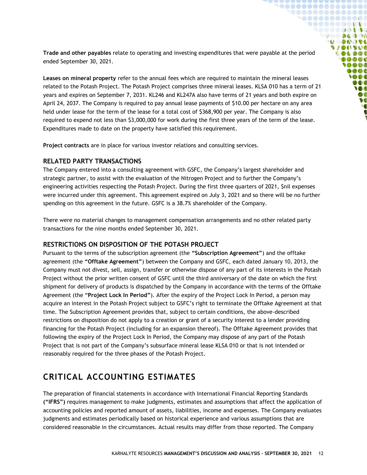**Trade and other payables** relate to operating and investing expenditures that were payable at the period ended September 30, 2021.

**`@@@@@@@@@@@@@@ `@@@@@@@@@@@ 90000000000** SOOOOQODOG **DO DA DO DO ADO DO DA UACIDAL COLDOL**  $0000$ 0000  $\bullet$ **SOO** DOO **M**  $\boldsymbol{v}$  $\bullet$ 

**Leases on mineral property** refer to the annual fees which are required to maintain the mineral leases related to the Potash Project. The Potash Project comprises three mineral leases. KLSA 010 has a term of 21 years and expires on September 7, 2031. KL246 and KL247A also have terms of 21 years and both expire on April 24, 2037. The Company is required to pay annual lease payments of \$10.00 per hectare on any area held under lease for the term of the lease for a total cost of \$368,900 per year. The Company is also required to expend not less than \$3,000,000 for work during the first three years of the term of the lease. Expenditures made to date on the property have satisfied this requirement.

**Project contracts** are in place for various investor relations and consulting services.

### <span id="page-11-0"></span>**RELATED PARTY TRANSACTIONS**

The Company entered into a consulting agreement with GSFC, the Company's largest shareholder and strategic partner, to assist with the evaluation of the Nitrogen Project and to further the Company's engineering activities respecting the Potash Project. During the first three quarters of 2021, \$nil expenses were incurred under this agreement. This agreement expired on July 3, 2021 and so there will be no further spending on this agreement in the future. GSFC is a 38.7% shareholder of the Company.

There were no material changes to management compensation arrangements and no other related party transactions for the nine months ended September 30, 2021.

#### <span id="page-11-1"></span>**RESTRICTIONS ON DISPOSITION OF THE POTASH PROJECT**

Pursuant to the terms of the subscription agreement (the **"Subscription Agreement"**) and the offtake agreement (the **"Offtake Agreement"**) between the Company and GSFC, each dated January 10, 2013, the Company must not divest, sell, assign, transfer or otherwise dispose of any part of its interests in the Potash Project without the prior written consent of GSFC until the third anniversary of the date on which the first shipment for delivery of products is dispatched by the Company in accordance with the terms of the Offtake Agreement (the "**Project Lock In Period"**). After the expiry of the Project Lock In Period, a person may acquire an interest in the Potash Project subject to GSFC's right to terminate the Offtake Agreement at that time. The Subscription Agreement provides that, subject to certain conditions, the above-described restrictions on disposition do not apply to a creation or grant of a security interest to a lender providing financing for the Potash Project (including for an expansion thereof). The Offtake Agreement provides that following the expiry of the Project Lock In Period, the Company may dispose of any part of the Potash Project that is not part of the Company's subsurface mineral lease KLSA 010 or that is not intended or reasonably required for the three phases of the Potash Project.

### <span id="page-11-2"></span>**CRITICAL ACCOUNTING ESTIMATES**

The preparation of financial statements in accordance with International Financial Reporting Standards **("IFRS")** requires management to make judgments, estimates and assumptions that affect the application of accounting policies and reported amount of assets, liabilities, income and expenses. The Company evaluates judgments and estimates periodically based on historical experience and various assumptions that are considered reasonable in the circumstances. Actual results may differ from those reported. The Company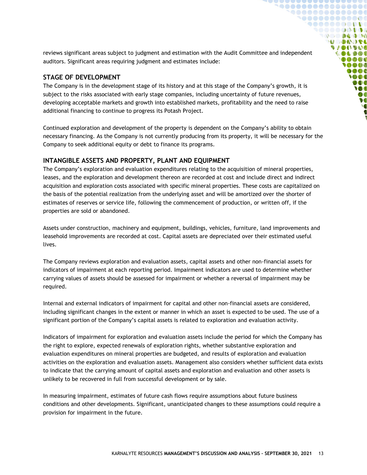reviews significant areas subject to judgment and estimation with the Audit Committee and independent auditors. Significant areas requiring judgment and estimates include:

**`@@@@@@@@@@@@@@ `@@@@@@@@@@@ 900000000000** SOOOOQODOG **COMPANY MODO DEL UACIDAL COLDOL**  $0000$ 0000  $000$ **SOOT** DOO W ØC  $\bullet$ 

### <span id="page-12-0"></span>**STAGE OF DEVELOPMENT**

The Company is in the development stage of its history and at this stage of the Company's growth, it is subject to the risks associated with early stage companies, including uncertainty of future revenues, developing acceptable markets and growth into established markets, profitability and the need to raise additional financing to continue to progress its Potash Project.

Continued exploration and development of the property is dependent on the Company's ability to obtain necessary financing. As the Company is not currently producing from its property, it will be necessary for the Company to seek additional equity or debt to finance its programs.

### <span id="page-12-1"></span>**INTANGIBLE ASSETS AND PROPERTY, PLANT AND EQUIPMENT**

The Company's exploration and evaluation expenditures relating to the acquisition of mineral properties, leases, and the exploration and development thereon are recorded at cost and include direct and indirect acquisition and exploration costs associated with specific mineral properties. These costs are capitalized on the basis of the potential realization from the underlying asset and will be amortized over the shorter of estimates of reserves or service life, following the commencement of production, or written off, if the properties are sold or abandoned.

Assets under construction, machinery and equipment, buildings, vehicles, furniture, land improvements and leasehold improvements are recorded at cost. Capital assets are depreciated over their estimated useful lives.

The Company reviews exploration and evaluation assets, capital assets and other non-financial assets for indicators of impairment at each reporting period. Impairment indicators are used to determine whether carrying values of assets should be assessed for impairment or whether a reversal of impairment may be required.

Internal and external indicators of impairment for capital and other non-financial assets are considered, including significant changes in the extent or manner in which an asset is expected to be used. The use of a significant portion of the Company's capital assets is related to exploration and evaluation activity.

Indicators of impairment for exploration and evaluation assets include the period for which the Company has the right to explore, expected renewals of exploration rights, whether substantive exploration and evaluation expenditures on mineral properties are budgeted, and results of exploration and evaluation activities on the exploration and evaluation assets. Management also considers whether sufficient data exists to indicate that the carrying amount of capital assets and exploration and evaluation and other assets is unlikely to be recovered in full from successful development or by sale.

In measuring impairment, estimates of future cash flows require assumptions about future business conditions and other developments. Significant, unanticipated changes to these assumptions could require a provision for impairment in the future.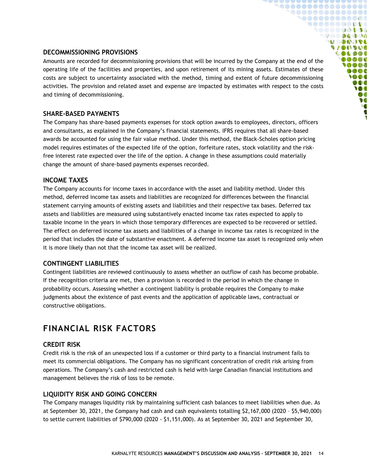#### <span id="page-13-0"></span>**DECOMMISSIONING PROVISIONS**

Amounts are recorded for decommissioning provisions that will be incurred by the Company at the end of the operating life of the facilities and properties, and upon retirement of its mining assets. Estimates of these costs are subject to uncertainty associated with the method, timing and extent of future decommissioning activities. The provision and related asset and expense are impacted by estimates with respect to the costs and timing of decommissioning.

**`@@@@@@@@@@@ 90000000000** ,,,,,,,,,,  $\mathbb{Q} \otimes \mathbb{Q} \otimes \mathbb{Q} \otimes \mathbb{Q} \otimes \mathbb{Q}$ **MODO DEL UACIDAL IL DIDE OB** OB OB **MAGA**  $\bullet \bullet \bullet$ **SOO** DOO **M**  $\boldsymbol{v}$ **V** 

### <span id="page-13-1"></span>**SHARE-BASED PAYMENTS**

The Company has share-based payments expenses for stock option awards to employees, directors, officers and consultants, as explained in the Company's financial statements. IFRS requires that all share-based awards be accounted for using the fair value method. Under this method, the Black-Scholes option pricing model requires estimates of the expected life of the option, forfeiture rates, stock volatility and the riskfree interest rate expected over the life of the option. A change in these assumptions could materially change the amount of share-based payments expenses recorded.

#### <span id="page-13-2"></span>**INCOME TAXES**

The Company accounts for income taxes in accordance with the asset and liability method. Under this method, deferred income tax assets and liabilities are recognized for differences between the financial statement carrying amounts of existing assets and liabilities and their respective tax bases. Deferred tax assets and liabilities are measured using substantively enacted income tax rates expected to apply to taxable income in the years in which those temporary differences are expected to be recovered or settled. The effect on deferred income tax assets and liabilities of a change in income tax rates is recognized in the period that includes the date of substantive enactment. A deferred income tax asset is recognized only when it is more likely than not that the income tax asset will be realized.

### <span id="page-13-3"></span>**CONTINGENT LIABILITIES**

Contingent liabilities are reviewed continuously to assess whether an outflow of cash has become probable. If the recognition criteria are met, then a provision is recorded in the period in which the change in probability occurs. Assessing whether a contingent liability is probable requires the Company to make judgments about the existence of past events and the application of applicable laws, contractual or constructive obligations.

### <span id="page-13-4"></span>**FINANCIAL RISK FACTORS**

#### <span id="page-13-5"></span>**CREDIT RISK**

Credit risk is the risk of an unexpected loss if a customer or third party to a financial instrument fails to meet its commercial obligations. The Company has no significant concentration of credit risk arising from operations. The Company's cash and restricted cash is held with large Canadian financial institutions and management believes the risk of loss to be remote.

#### <span id="page-13-6"></span>**LIQUIDITY RISK AND GOING CONCERN**

The Company manages liquidity risk by maintaining sufficient cash balances to meet liabilities when due. As at September 30, 2021, the Company had cash and cash equivalents totalling \$2,167,000 (2020 – \$5,940,000) to settle current liabilities of \$790,000 (2020 - \$1,151,000). As at September 30, 2021 and September 30,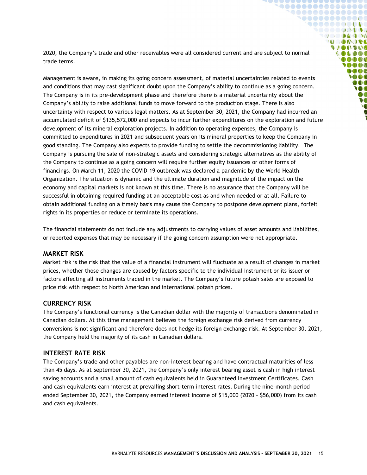2020, the Company's trade and other receivables were all considered current and are subject to normal trade terms.

**`@@@@@@@@@@@@@@@ `@@@@@@@@@@@ 900000000000** SOOOOQODOG **OCO DA DO MODOOSE VAOOVOO COLDOL** 10000 **OOO**  $\bullet \bullet \bullet$ **SOO** DOO **M**  $\boldsymbol{v}$  $\bullet$ 

Management is aware, in making its going concern assessment, of material uncertainties related to events and conditions that may cast significant doubt upon the Company's ability to continue as a going concern. The Company is in its pre-development phase and therefore there is a material uncertainty about the Company's ability to raise additional funds to move forward to the production stage. There is also uncertainty with respect to various legal matters. As at September 30, 2021, the Company had incurred an accumulated deficit of \$135,572,000 and expects to incur further expenditures on the exploration and future development of its mineral exploration projects. In addition to operating expenses, the Company is committed to expenditures in 2021 and subsequent years on its mineral properties to keep the Company in good standing. The Company also expects to provide funding to settle the decommissioning liability. The Company is pursuing the sale of non-strategic assets and considering strategic alternatives as the ability of the Company to continue as a going concern will require further equity issuances or other forms of financings. On March 11, 2020 the COVID-19 outbreak was declared a pandemic by the World Health Organization. The situation is dynamic and the ultimate duration and magnitude of the impact on the economy and capital markets is not known at this time. There is no assurance that the Company will be successful in obtaining required funding at an acceptable cost as and when needed or at all. Failure to obtain additional funding on a timely basis may cause the Company to postpone development plans, forfeit rights in its properties or reduce or terminate its operations.

The financial statements do not include any adjustments to carrying values of asset amounts and liabilities, or reported expenses that may be necessary if the going concern assumption were not appropriate.

#### <span id="page-14-0"></span>**MARKET RISK**

Market risk is the risk that the value of a financial instrument will fluctuate as a result of changes in market prices, whether those changes are caused by factors specific to the individual instrument or its issuer or factors affecting all instruments traded in the market. The Company's future potash sales are exposed to price risk with respect to North American and international potash prices.

#### <span id="page-14-1"></span>**CURRENCY RISK**

The Company's functional currency is the Canadian dollar with the majority of transactions denominated in Canadian dollars. At this time management believes the foreign exchange risk derived from currency conversions is not significant and therefore does not hedge its foreign exchange risk. At September 30, 2021, the Company held the majority of its cash in Canadian dollars.

#### <span id="page-14-2"></span>**INTEREST RATE RISK**

The Company's trade and other payables are non-interest bearing and have contractual maturities of less than 45 days. As at September 30, 2021, the Company's only interest bearing asset is cash in high interest saving accounts and a small amount of cash equivalents held in Guaranteed Investment Certificates. Cash and cash equivalents earn interest at prevailing short-term interest rates. During the nine-month period ended September 30, 2021, the Company earned interest income of \$15,000 (2020 - \$56,000) from its cash and cash equivalents.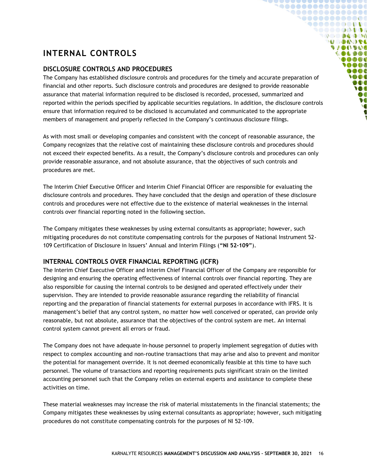### <span id="page-15-0"></span>**INTERNAL CONTROLS**

### <span id="page-15-1"></span>**DISCLOSURE CONTROLS AND PROCEDURES**

The Company has established disclosure controls and procedures for the timely and accurate preparation of financial and other reports. Such disclosure controls and procedures are designed to provide reasonable assurance that material information required to be disclosed is recorded, processed, summarized and reported within the periods specified by applicable securities regulations. In addition, the disclosure controls ensure that information required to be disclosed is accumulated and communicated to the appropriate members of management and properly reflected in the Company's continuous disclosure filings.

**`@@@@@@@@@@@@@@@** 1000000000000  $\bullet \bullet \bullet \bullet \bullet \bullet \bullet \bullet \bullet \bullet \bullet \bullet \bullet$ SOOOOQODOG **OCO DA DO MODAGE VIONVOS** 000000 **DOOD OOO**  $0000$ **SOO** DOO **M** Ø **V** 

As with most small or developing companies and consistent with the concept of reasonable assurance, the Company recognizes that the relative cost of maintaining these disclosure controls and procedures should not exceed their expected benefits. As a result, the Company's disclosure controls and procedures can only provide reasonable assurance, and not absolute assurance, that the objectives of such controls and procedures are met.

The Interim Chief Executive Officer and Interim Chief Financial Officer are responsible for evaluating the disclosure controls and procedures. They have concluded that the design and operation of these disclosure controls and procedures were not effective due to the existence of material weaknesses in the internal controls over financial reporting noted in the following section.

The Company mitigates these weaknesses by using external consultants as appropriate; however, such mitigating procedures do not constitute compensating controls for the purposes of National Instrument 52- 109 Certification of Disclosure in Issuers' Annual and Interim Filings (**"NI 52-109"**).

### <span id="page-15-2"></span>**INTERNAL CONTROLS OVER FINANCIAL REPORTING (ICFR)**

The Interim Chief Executive Officer and Interim Chief Financial Officer of the Company are responsible for designing and ensuring the operating effectiveness of internal controls over financial reporting. They are also responsible for causing the internal controls to be designed and operated effectively under their supervision. They are intended to provide reasonable assurance regarding the reliability of financial reporting and the preparation of financial statements for external purposes in accordance with IFRS. It is management's belief that any control system, no matter how well conceived or operated, can provide only reasonable, but not absolute, assurance that the objectives of the control system are met. An internal control system cannot prevent all errors or fraud.

The Company does not have adequate in-house personnel to properly implement segregation of duties with respect to complex accounting and non-routine transactions that may arise and also to prevent and monitor the potential for management override. It is not deemed economically feasible at this time to have such personnel. The volume of transactions and reporting requirements puts significant strain on the limited accounting personnel such that the Company relies on external experts and assistance to complete these activities on time.

These material weaknesses may increase the risk of material misstatements in the financial statements; the Company mitigates these weaknesses by using external consultants as appropriate; however, such mitigating procedures do not constitute compensating controls for the purposes of NI 52-109.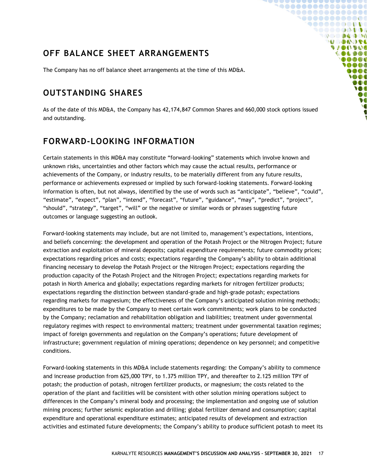### <span id="page-16-0"></span>**OFF BALANCE SHEET ARRANGEMENTS**

The Company has no off balance sheet arrangements at the time of this MD&A.

### <span id="page-16-1"></span>**OUTSTANDING SHARES**

As of the date of this MD&A, the Company has 42,174,847 Common Shares and 660,000 stock options issued and outstanding.

**`@@@@@@@@@@@@@@** 1000000000000 **900000000000** SOOOOQODOG **DO DA DO DO MODADS VACOUVAC** 000000 **DOOD IAAA**  $0000$ **SOO** DOO **M** Ø  $\bullet$ 

### <span id="page-16-2"></span>**FORWARD-LOOKING INFORMATION**

Certain statements in this MD&A may constitute "forward-looking" statements which involve known and unknown risks, uncertainties and other factors which may cause the actual results, performance or achievements of the Company, or industry results, to be materially different from any future results, performance or achievements expressed or implied by such forward-looking statements. Forward-looking information is often, but not always, identified by the use of words such as "anticipate", "believe", "could", "estimate", "expect", "plan", "intend", "forecast", "future", "guidance", "may", "predict", "project", "should", "strategy", "target", "will" or the negative or similar words or phrases suggesting future outcomes or language suggesting an outlook.

Forward-looking statements may include, but are not limited to, management's expectations, intentions, and beliefs concerning: the development and operation of the Potash Project or the Nitrogen Project; future extraction and exploitation of mineral deposits; capital expenditure requirements; future commodity prices; expectations regarding prices and costs; expectations regarding the Company's ability to obtain additional financing necessary to develop the Potash Project or the Nitrogen Project; expectations regarding the production capacity of the Potash Project and the Nitrogen Project; expectations regarding markets for potash in North America and globally; expectations regarding markets for nitrogen fertilizer products; expectations regarding the distinction between standard-grade and high-grade potash; expectations regarding markets for magnesium; the effectiveness of the Company's anticipated solution mining methods; expenditures to be made by the Company to meet certain work commitments; work plans to be conducted by the Company; reclamation and rehabilitation obligation and liabilities; treatment under governmental regulatory regimes with respect to environmental matters; treatment under governmental taxation regimes; impact of foreign governments and regulation on the Company's operations; future development of infrastructure; government regulation of mining operations; dependence on key personnel; and competitive conditions.

Forward-looking statements in this MD&A include statements regarding: the Company's ability to commence and increase production from 625,000 TPY, to 1.375 million TPY, and thereafter to 2.125 million TPY of potash; the production of potash, nitrogen fertilizer products, or magnesium; the costs related to the operation of the plant and facilities will be consistent with other solution mining operations subject to differences in the Company's mineral body and processing; the implementation and ongoing use of solution mining process; further seismic exploration and drilling; global fertilizer demand and consumption; capital expenditure and operational expenditure estimates; anticipated results of development and extraction activities and estimated future developments; the Company's ability to produce sufficient potash to meet its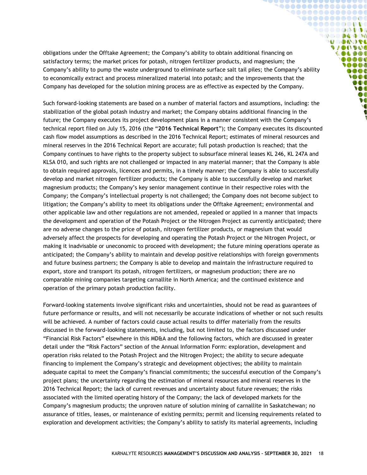obligations under the Offtake Agreement; the Company's ability to obtain additional financing on satisfactory terms; the market prices for potash, nitrogen fertilizer products, and magnesium; the Company's ability to pump the waste underground to eliminate surface salt tail piles; the Company's ability to economically extract and process mineralized material into potash; and the improvements that the Company has developed for the solution mining process are as effective as expected by the Company.

**`@@@@@@@@@@@@@@@** 1000000000000  $\bullet \bullet \bullet \bullet \bullet \bullet \bullet \bullet \bullet \bullet \bullet \bullet \bullet$ **DO DA DO DO MODADS SAGONAIO** 000000  $00000$ **SOOO MOOC YOOO** 000 **IO** DO  $\bullet$ 

Such forward-looking statements are based on a number of material factors and assumptions, including: the stabilization of the global potash industry and market; the Company obtains additional financing in the future; the Company executes its project development plans in a manner consistent with the Company's technical report filed on July 15, 2016 (the "**2016 Technical Report**"); the Company executes its discounted cash flow model assumptions as described in the 2016 Technical Report; estimates of mineral resources and mineral reserves in the 2016 Technical Report are accurate; full potash production is reached; that the Company continues to have rights to the property subject to subsurface mineral leases KL 246, KL 247A and KLSA 010, and such rights are not challenged or impacted in any material manner; that the Company is able to obtain required approvals, licences and permits, in a timely manner; the Company is able to successfully develop and market nitrogen fertilizer products; the Company is able to successfully develop and market magnesium products; the Company's key senior management continue in their respective roles with the Company; the Company's intellectual property is not challenged; the Company does not become subject to litigation; the Company's ability to meet its obligations under the Offtake Agreement; environmental and other applicable law and other regulations are not amended, repealed or applied in a manner that impacts the development and operation of the Potash Project or the Nitrogen Project as currently anticipated; there are no adverse changes to the price of potash, nitrogen fertilizer products, or magnesium that would adversely affect the prospects for developing and operating the Potash Project or the Nitrogen Project, or making it inadvisable or uneconomic to proceed with development; the future mining operations operate as anticipated; the Company's ability to maintain and develop positive relationships with foreign governments and future business partners; the Company is able to develop and maintain the infrastructure required to export, store and transport its potash, nitrogen fertilizers, or magnesium production; there are no comparable mining companies targeting carnallite in North America; and the continued existence and operation of the primary potash production facility.

Forward-looking statements involve significant risks and uncertainties, should not be read as guarantees of future performance or results, and will not necessarily be accurate indications of whether or not such results will be achieved. A number of factors could cause actual results to differ materially from the results discussed in the forward-looking statements, including, but not limited to, the factors discussed under "Financial Risk Factors" elsewhere in this MD&A and the following factors, which are discussed in greater detail under the "Risk Factors" section of the Annual Information Form: exploration, development and operation risks related to the Potash Project and the Nitrogen Project; the ability to secure adequate financing to implement the Company's strategic and development objectives; the ability to maintain adequate capital to meet the Company's financial commitments; the successful execution of the Company's project plans; the uncertainty regarding the estimation of mineral resources and mineral reserves in the 2016 Technical Report; the lack of current revenues and uncertainty about future revenues; the risks associated with the limited operating history of the Company; the lack of developed markets for the Company's magnesium products; the unproven nature of solution mining of carnallite in Saskatchewan; no assurance of titles, leases, or maintenance of existing permits; permit and licensing requirements related to exploration and development activities; the Company's ability to satisfy its material agreements, including